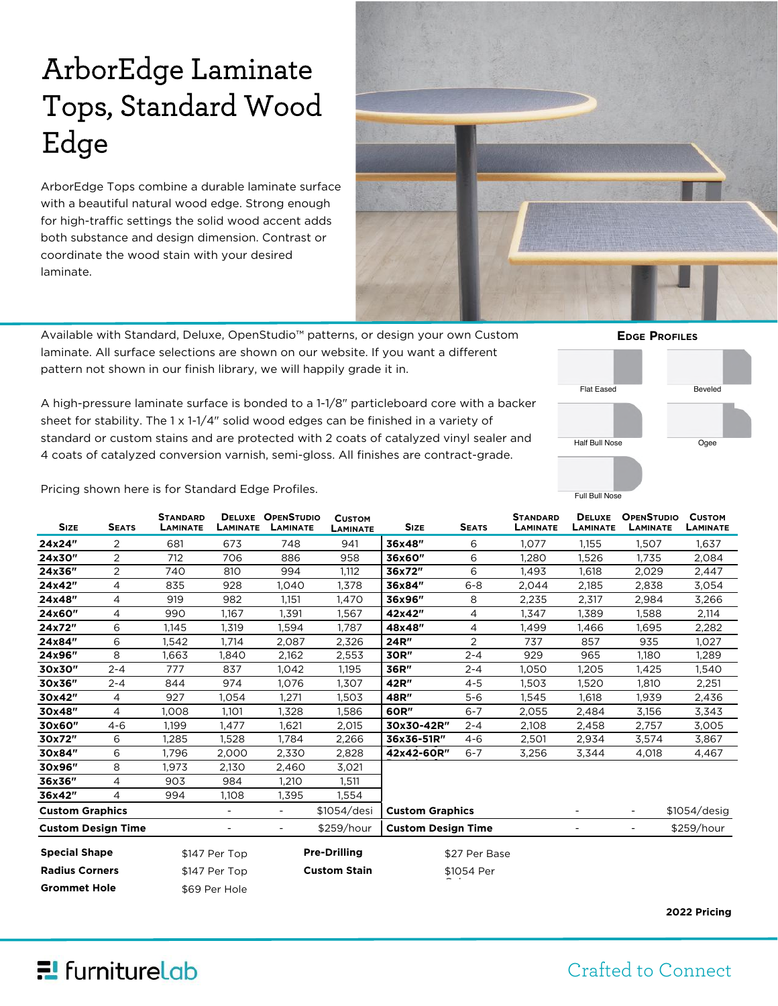# ArborEdge Laminate Tops, Standard Wood Edge

ArborEdge Tops combine a durable laminate surface with a beautiful natural wood edge. Strong enough for high-traffic settings the solid wood accent adds both substance and design dimension. Contrast or coordinate the wood stain with your desired laminate.



Available with Standard, Deluxe, OpenStudio™ patterns, or design your own Custom laminate. All surface selections are shown on our website. If you want a different pattern not shown in our finish library, we will happily grade it in.

A high-pressure laminate surface is bonded to a 1-1/8" particleboard core with a backer sheet for stability. The  $1 \times 1$ -1/4" solid wood edges can be finished in a variety of standard or custom stains and are protected with 2 coats of catalyzed vinyl sealer and 4 coats of catalyzed conversion varnish, semi-gloss. All finishes are contract-grade.



Pricing shown here is for Standard Edge Profiles.

| <b>SIZE</b>               | <b>SEATS</b>   | <b>STANDARD</b><br>LAMINATE | LAMINATE                 | <b>DELUXE OPENSTUDIO</b><br>LAMINATE | <b>CUSTOM</b><br><b>LAMINATE</b> | <b>SIZE</b>               | <b>SEATS</b> | <b>STANDARD</b><br>LAMINATE | <b>DELUXE</b><br>LAMINATE | <b>OPENSTUDIO</b><br>LAMINATE | <b>CUSTOM</b><br><b>LAMINATE</b> |
|---------------------------|----------------|-----------------------------|--------------------------|--------------------------------------|----------------------------------|---------------------------|--------------|-----------------------------|---------------------------|-------------------------------|----------------------------------|
| 24x24"                    | 2              | 681                         | 673                      | 748                                  | 941                              | 36x48"                    | 6            | 1,077                       | 1,155                     | 1,507                         | 1,637                            |
| 24x30"                    | 2              | 712                         | 706                      | 886                                  | 958                              | 36x60"                    | 6            | 1.280                       | 1,526                     | 1,735                         | 2,084                            |
| 24x36"                    | $\overline{2}$ | 740                         | 810                      | 994                                  | 1,112                            | 36x72"                    | 6            | 1,493                       | 1,618                     | 2,029                         | 2,447                            |
| 24x42"                    | 4              | 835                         | 928                      | 1,040                                | 1,378                            | 36x84"                    | $6 - 8$      | 2,044                       | 2,185                     | 2,838                         | 3,054                            |
| 24x48"                    | 4              | 919                         | 982                      | 1,151                                | 1,470                            | 36x96"                    | 8            | 2,235                       | 2,317                     | 2,984                         | 3,266                            |
| 24x60"                    | 4              | 990                         | 1,167                    | 1,391                                | 1,567                            | 42x42"                    | 4            | 1,347                       | 1,389                     | 1,588                         | 2,114                            |
| 24x72"                    | 6              | 1,145                       | 1,319                    | 1,594                                | 1,787                            | 48x48"                    | 4            | 1,499                       | 1,466                     | 1,695                         | 2,282                            |
| 24x84"                    | 6              | 1,542                       | 1,714                    | 2,087                                | 2,326                            | 24R"                      | 2            | 737                         | 857                       | 935                           | 1,027                            |
| 24x96"                    | 8              | 1,663                       | 1,840                    | 2,162                                | 2,553                            | 30R"                      | $2 - 4$      | 929                         | 965                       | 1,180                         | 1,289                            |
| 30x30"                    | $2 - 4$        | 777                         | 837                      | 1,042                                | 1,195                            | 36R"                      | $2 - 4$      | 1,050                       | 1,205                     | 1,425                         | 1,540                            |
| 30x36"                    | $2 - 4$        | 844                         | 974                      | 1,076                                | 1.307                            | 42R"                      | $4 - 5$      | 1.503                       | 1.520                     | 1.810                         | 2,251                            |
| 30x42"                    | 4              | 927                         | 1,054                    | 1,271                                | 1,503                            | 48R"                      | $5 - 6$      | 1,545                       | 1,618                     | 1,939                         | 2,436                            |
| 30x48"                    | 4              | 1.008                       | 1.101                    | 1,328                                | 1,586                            | 60R"                      | $6 - 7$      | 2,055                       | 2,484                     | 3,156                         | 3,343                            |
| 30x60"                    | $4 - 6$        | 1,199                       | 1.477                    | 1,621                                | 2,015                            | 30x30-42R"                | $2 - 4$      | 2,108                       | 2,458                     | 2,757                         | 3,005                            |
| 30x72"                    | 6              | 1,285                       | 1,528                    | 1,784                                | 2,266                            | 36x36-51R"                | $4 - 6$      | 2,501                       | 2,934                     | 3,574                         | 3,867                            |
| 30x84"                    | 6              | 1,796                       | 2,000                    | 2,330                                | 2,828                            | 42x42-60R"                | $6 - 7$      | 3,256                       | 3,344                     | 4,018                         | 4,467                            |
| 30x96"                    | 8              | 1.973                       | 2,130                    | 2,460                                | 3,021                            |                           |              |                             |                           |                               |                                  |
| 36x36"                    | 4              | 903                         | 984                      | 1,210                                | 1,511                            |                           |              |                             |                           |                               |                                  |
| 36x42"                    | 4              | 994                         | 1,108                    | 1,395                                | 1,554                            |                           |              |                             |                           |                               |                                  |
| <b>Custom Graphics</b>    |                |                             | $\overline{\phantom{a}}$ |                                      | \$1054/desi                      | <b>Custom Graphics</b>    |              |                             |                           | $\overline{\phantom{a}}$      | \$1054/desig                     |
| <b>Custom Design Time</b> |                |                             |                          | $\overline{\phantom{a}}$             | \$259/hour                       | <b>Custom Design Time</b> |              |                             | $\overline{\phantom{a}}$  | $\overline{\phantom{a}}$      | \$259/hour                       |
| <b>Special Shape</b>      |                | \$147 Per Top               |                          | <b>Pre-Drilling</b>                  |                                  | \$27 Per Base             |              |                             |                           |                               |                                  |
| <b>Radius Corners</b>     |                | \$147 Per Top               |                          | <b>Custom Stain</b>                  |                                  | \$1054 Per                |              |                             |                           |                               |                                  |
| <b>Grommet Hole</b>       |                |                             | \$69 Per Hole            |                                      |                                  |                           |              |                             |                           |                               |                                  |

## $E$  furniture Lab

#### Crafted to Connect